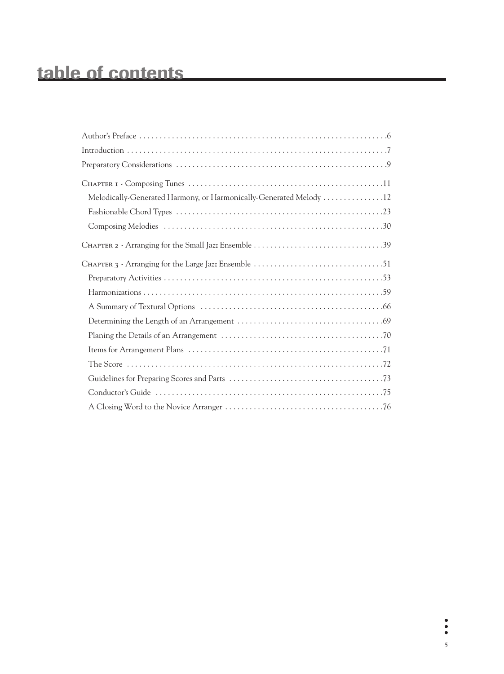| Melodically-Generated Harmony, or Harmonically-Generated Melody  12 |
|---------------------------------------------------------------------|
|                                                                     |
|                                                                     |
|                                                                     |
|                                                                     |
|                                                                     |
|                                                                     |
|                                                                     |
|                                                                     |
|                                                                     |
|                                                                     |
|                                                                     |
|                                                                     |
|                                                                     |
|                                                                     |

5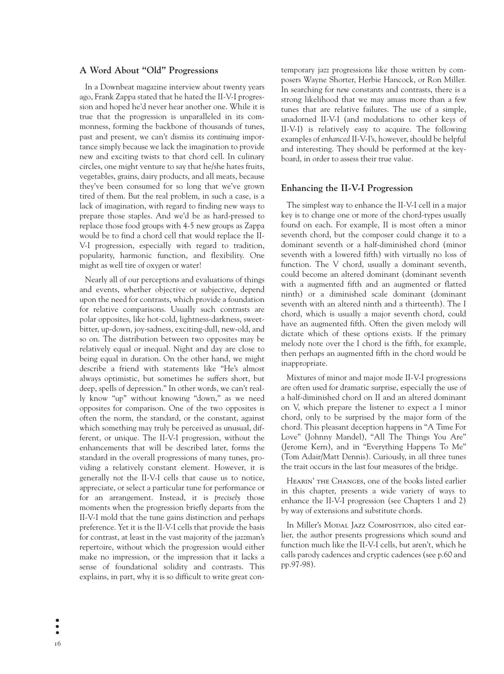### **A Word About "Old" Progressions**

In a Downbeat magazine interview about twenty years ago, Frank Zappa stated that he hated the II-V-I progression and hoped he'd never hear another one. While it is true that the progression is unparalleled in its commonness, forming the backbone of thousands of tunes, past and present, we can't dismiss its *continuing* importance simply because we lack the imagination to provide new and exciting twists to that chord cell. In culinary circles, one might venture to say that he/she hates fruits, vegetables, grains, dairy products, and all meats, because they've been consumed for so long that we've grown tired of them. But the real problem, in such a case, is a lack of imagination, with regard to finding new ways to prepare those staples. And we'd be as hard-pressed to replace those food groups with 4-5 new groups as Zappa would be to find a chord cell that would replace the II-V-I progression, especially with regard to tradition, popularity, harmonic function, and flexibility. One might as well tire of oxygen or water!

Nearly all of our perceptions and evaluations of things and events, whether objective or subjective, depend upon the need for contrasts, which provide a foundation for relative comparisons. Usually such contrasts are polar opposites, like hot-cold, lightness-darkness, sweetbitter, up-down, joy-sadness, exciting-dull, new-old, and so on. The distribution between two opposites may be relatively equal or inequal. Night and day are close to being equal in duration. On the other hand, we might describe a friend with statements like "He's almost always optimistic, but sometimes he suffers short, but deep, spells of depression." In other words, we can't really know "up" without knowing "down," as we need opposites for comparison. One of the two opposites is often the norm, the standard, or the constant, against which something may truly be perceived as unusual, different, or unique. The II-V-I progression, without the enhancements that will be described later, forms the standard in the overall progressions of many tunes, providing a relatively constant element. However, it is generally *not* the II-V-I cells that cause us to notice, appreciate, or select a particular tune for performance or for an arrangement. Instead, it is *precisely* those moments when the progression briefly departs from the II-V-I mold that the tune gains distinction and perhaps preference. Yet it is the II-V-I cells that provide the basis for contrast, at least in the vast majority of the jazzman's repertoire, without which the progression would either make no impression, or the impression that it lacks a sense of foundational solidity and contrasts. This explains, in part, why it is so difficult to write great contemporary jazz progressions like those written by composers Wayne Shorter, Herbie Hancock, or Ron Miller. In searching for *new* constants and contrasts, there is a strong likelihood that we may amass more than a few tunes that are relative failures. The use of a simple, unadorned II-V-I (and modulations to other keys of II-V-I) is relatively easy to acquire. The following examples of *enhanced* II-V-I's, however, should be helpful and interesting. They should be performed at the keyboard, in order to assess their true value.

#### **Enhancing the II-V-I Progression**

The simplest way to enhance the II-V-I cell in a major key is to change one or more of the chord-types usually found on each. For example, II is most often a minor seventh chord, but the composer could change it to a dominant seventh or a half-diminished chord (minor seventh with a lowered fifth) with virtually no loss of function. The V chord, usually a dominant seventh, could become an altered dominant (dominant seventh with a augmented fifth and an augmented or flatted ninth) or a diminished scale dominant (dominant seventh with an altered ninth and a thirteenth). The I chord, which is usually a major seventh chord, could have an augmented fifth. Often the given melody will dictate which of these options exists. If the primary melody note over the I chord is the fifth, for example, then perhaps an augmented fifth in the chord would be inappropriate.

Mixtures of minor and major mode II-V-I progressions are often used for dramatic surprise, especially the use of a half-diminished chord on II and an altered dominant on V, which prepare the listener to expect a I minor chord, only to be surprised by the major form of the chord. This pleasant deception happens in "A Time For Love" (Johnny Mandel), "All The Things You Are" (Jerome Kern), and in "Everything Happens To Me" (Tom Adair/Matt Dennis). Curiously, in all three tunes the trait occurs in the last four measures of the bridge.

Hearin' the Changes, one of the books listed earlier in this chapter, presents a wide variety of ways to enhance the II-V-I progression (see Chapters 1 and 2) by way of extensions and substitute chords.

In Miller's MODAL JAZZ COMPOSITION, also cited earlier, the author presents progressions which sound and function much like the II-V-I cells, but aren't, which he calls parody cadences and cryptic cadences (see p.60 and pp.97-98).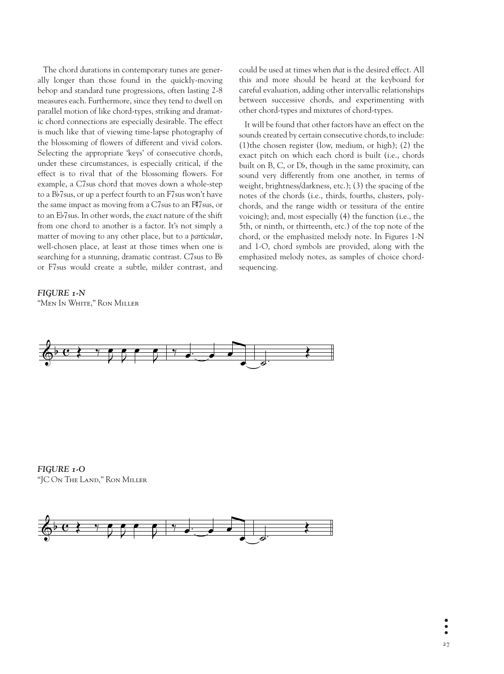The chord durations in contemporary tunes are generally longer than those found in the quickly-moving bebop and standard tune progressions, often lasting 2-8 measures each. Furthermore, since they tend to dwell on parallel motion of like chord-types, striking and dramatic chord connections are especially desirable. The effect is much like that of viewing time-lapse photography of the blossoming of flowers of different and vivid colors. Selecting the appropriate 'keys' of consecutive chords, under these circumstances, is especially critical, if the effect is to rival that of the blossoming flowers. For example, a C7sus chord that moves down a whole-step to a B<sup>b</sup>7sus, or up a perfect fourth to an F7sus won't have the same impact as moving from a C7sus to an F#7sus, or to an E∑7sus. In other words, the *exact* nature of the shift from one chord to another is a factor. It's not simply a matter of moving to any other place, but to a *particular*, well-chosen place, at least at those times when one is searching for a stunning, dramatic contrast. C7sus to B or F7sus would create a subtle, milder contrast, and easures each: Funther<br>arallel motion of like<br>chord connections a<br>much like that of vi<br>ne blossoming of flow<br>electing the appropri<br>mder these circumstar<br>fect is to rival that<br>xample, a C7sus chor<br>on a Bb7sus, or up a perf<br>n

*FIGURE 1-N* "Men In White," Ron Miller

could be used at times when *that* is the desired effect. All this and more should be heard at the keyboard for careful evaluation, adding other intervallic relationships between successive chords, and experimenting with other chord-types and mixtures of chord-types.

It will be found that other factors have an effect on the sounds created by certain consecutive chords, to include: (1)the chosen register (low, medium, or high); (2) the exact pitch on which each chord is built (i.e., chords built on B, C, or D<sup>b</sup>, though in the same proximity, can sound very differently from one another, in terms of weight, brightness/darkness, etc.); (3) the spacing of the notes of the chords (i.e., thirds, fourths, clusters, polychords, and the range width or tessitura of the entire voicing); and, most especially (4) the function (i.e., the 5th, or ninth, or thirteenth, etc.) of the top note of the chord, or the emphasized melody note. In Figures 1-N and 1-O, chord symbols are provided, along with the emphasized melody notes, as samples of choice chordsequencing.



*FIGURE 1-O* "JC On The Land," Ron Miller

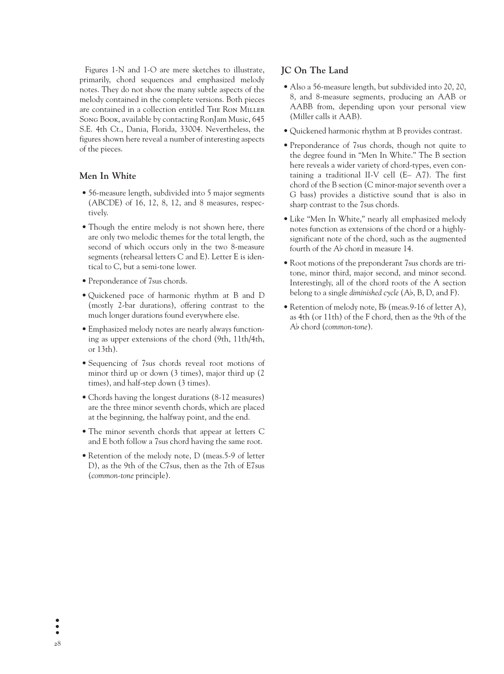Figures 1-N and 1-O are mere sketches to illustrate, primarily, chord sequences and emphasized melody notes. They do not show the many subtle aspects of the melody contained in the complete versions. Both pieces are contained in a collection entitled THE RON MILLER Song Book, available by contacting RonJam Music, 645 S.E. 4th Ct., Dania, Florida, 33004. Nevertheless, the figures shown here reveal a number of interesting aspects of the pieces.

# **Men In White**

- 56-measure length, subdivided into 5 major segments (ABCDE) of 16, 12, 8, 12, and 8 measures, respectively.
- Though the entire melody is not shown here, there are only two melodic themes for the total length, the second of which occurs only in the two 8-measure segments (rehearsal letters C and E). Letter E is identical to C, but a semi-tone lower.
- Preponderance of 7sus chords.
- Quickened pace of harmonic rhythm at B and D (mostly 2-bar durations), offering contrast to the much longer durations found everywhere else.
- Emphasized melody notes are nearly always functioning as upper extensions of the chord (9th, 11th/4th, or 13th).
- Sequencing of 7sus chords reveal root motions of minor third up or down (3 times), major third up (2 times), and half-step down (3 times).
- Chords having the longest durations (8-12 measures) are the three minor seventh chords, which are placed at the beginning, the halfway point, and the end.
- The minor seventh chords that appear at letters C and E both follow a 7sus chord having the same root.
- Retention of the melody note, D (meas.5-9 of letter D), as the 9th of the C7sus, then as the 7th of E7sus (*common-tone* principle).

# **JC On The Land**

- Also a 56-measure length, but subdivided into 20, 20, 8, and 8-measure segments, producing an AAB or AABB from, depending upon your personal view (Miller calls it AAB).
- Quickened harmonic rhythm at B provides contrast.
- Preponderance of 7sus chords, though not quite to the degree found in "Men In White." The B section here reveals a wider variety of chord-types, even containing a traditional II-V cell (E– A7). The first chord of the B section (C minor-major seventh over a G bass) provides a distictive sound that is also in sharp contrast to the 7sus chords.
- Like "Men In White," nearly all emphasized melody notes function as extensions of the chord or a highlysignificant note of the chord, such as the augmented fourth of the A∑ chord in measure 14.
- Root motions of the preponderant 7sus chords are tritone, minor third, major second, and minor second. Interestingly, all of the chord roots of the A section belong to a single *diminished cycle* (A♭, B, D, and F).
- Retention of melody note, B∑ (meas.9-16 of letter A), as 4th (or 11th) of the F chord, then as the 9th of the A∑ chord (*common-tone*).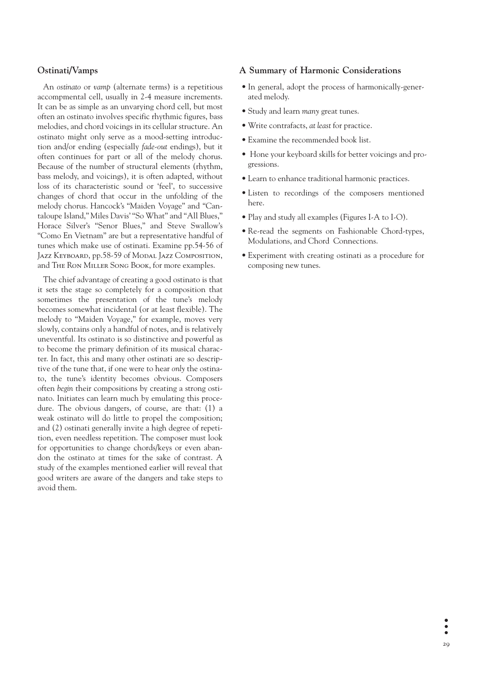# **Ostinati/Vamps**

An *ostinato* or *vamp* (alternate terms) is a repetitious accompmental cell, usually in 2-4 measure increments. It can be as simple as an unvarying chord cell, but most often an ostinato involves specific rhythmic figures, bass melodies, and chord voicings in its cellular structure. An ostinato might only serve as a mood-setting introduction and/or ending (especially *fade-out* endings), but it often continues for part or all of the melody chorus. Because of the number of structural elements (rhythm, bass melody, and voicings), it is often adapted, without loss of its characteristic sound or 'feel', to successive changes of chord that occur in the unfolding of the melody chorus. Hancock's "Maiden Voyage" and "Cantaloupe Island," Miles Davis' "So What" and "All Blues," Horace Silver's "Senor Blues," and Steve Swallow's "Como En Vietnam" are but a representative handful of tunes which make use of ostinati. Examine pp.54-56 of Jazz Keyboard, pp.58-59 of Modal Jazz Composition, and The Ron Miller Song Book, for more examples.

The chief advantage of creating a good ostinato is that it sets the stage so completely for a composition that sometimes the presentation of the tune's melody becomes somewhat incidental (or at least flexible). The melody to "Maiden Voyage," for example, moves very slowly, contains only a handful of notes, and is relatively uneventful. Its ostinato is so distinctive and powerful as to become the primary definition of its musical character. In fact, this and many other ostinati are so descriptive of the tune that, if one were to hear *only* the ostinato, the tune's identity becomes obvious. Composers often *begin* their compositions by creating a strong ostinato. Initiates can learn much by emulating this procedure. The obvious dangers, of course, are that: (1) a weak ostinato will do little to propel the composition; and (2) ostinati generally invite a high degree of repetition, even needless repetition. The composer must look for opportunities to change chords/keys or even abandon the ostinato at times for the sake of contrast. A study of the examples mentioned earlier will reveal that good writers are aware of the dangers and take steps to avoid them.

## **A Summary of Harmonic Considerations**

- In general, adopt the process of harmonically-generated melody.
- Study and learn *many* great tunes.
- Write contrafacts, *at least* for practice.
- Examine the recommended book list.
- Hone your keyboard skills for better voicings and progressions.
- Learn to enhance traditional harmonic practices.
- Listen to recordings of the composers mentioned here.
- Play and study all examples (Figures I-A to I-O).
- Re-read the segments on Fashionable Chord-types, Modulations, and Chord Connections.
- Experiment with creating ostinati as a procedure for composing new tunes.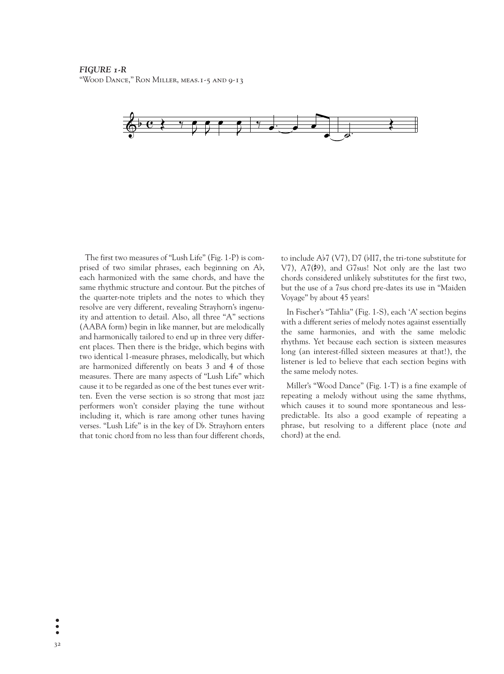

The first two measures of "Lush Life" (Fig. 1-P) is comprised of two similar phrases, each beginning on  $\mathsf{A}\flat$ , each harmonized with the same chords, and have the same rhythmic structure and contour. But the pitches of the quarter-note triplets and the notes to which they resolve are very different, revealing Strayhorn's ingenuity and attention to detail. Also, all three "A" sections (AABA form) begin in like manner, but are melodically and harmonically tailored to end up in three very different places. Then there is the bridge, which begins with two identical 1-measure phrases, melodically, but which are harmonized differently on beats 3 and 4 of those measures. There are many aspects of "Lush Life" which cause it to be regarded as one of the best tunes ever written. Even the verse section is so strong that most jazz performers won't consider playing the tune without including it, which is rare among other tunes having verses. "Lush Life" is in the key of Db. Strayhorn enters that tonic chord from no less than four different chords,

to include  $\text{Ab}7$  (V7), D7 ( $\text{b}117$ , the tri-tone substitute for V7), A7(‡9), and G7sus! Not only are the last two chords considered unlikely substitutes for the first two, but the use of a 7sus chord pre-dates its use in "Maiden Voyage" by about 45 years!

In Fischer's "Tahlia" (Fig. 1-S), each 'A' section begins with a different series of melody notes against essentially the same harmonies, and with the same melodic rhythms. Yet because each section is sixteen measures long (an interest-filled sixteen measures at that!), the listener is led to believe that each section begins with the same melody notes.

Miller's "Wood Dance" (Fig. 1-T) is a fine example of repeating a melody without using the same rhythms, which causes it to sound more spontaneous and lesspredictable. Its also a good example of repeating a phrase, but resolving to a different place (note *and* chord) at the end.

 $\bullet$ 32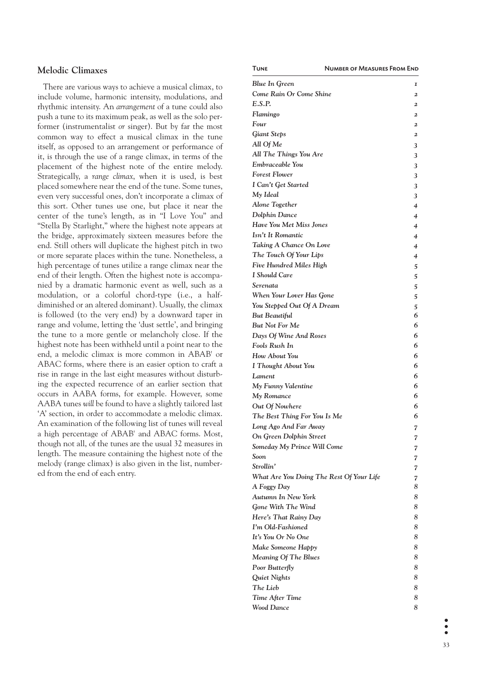## **Melodic Climaxes**

There are various ways to achieve a musical climax, to include volume, harmonic intensity, modulations, and rhythmic intensity. An *arrangement* of a tune could also push a tune to its maximum peak, as well as the solo performer (instrumentalist *or* singer). But by far the most common way to effect a musical climax in the tune itself, as opposed to an arrangement or performance of it, is through the use of a range climax, in terms of the placement of the highest note of the entire melody. Strategically, a *range climax*, when it is used, is best placed somewhere near the end of the tune. Some tunes, even very successful ones, don't incorporate a climax of this sort. Other tunes use one, but place it near the center of the tune's length, as in "I Love You" and "Stella By Starlight," where the highest note appears at the bridge, approximately sixteen measures before the end. Still others will duplicate the highest pitch in two or more separate places within the tune. Nonetheless, a high percentage of tunes utilize a range climax near the end of their length. Often the highest note is accompanied by a dramatic harmonic event as well, such as a modulation, or a colorful chord-type (i.e., a halfdiminished or an altered dominant). Usually, the climax is followed (to the very end) by a downward taper in range and volume, letting the 'dust settle', and bringing the tune to a more gentle or melancholy close. If the highest note has been withheld until a point near to the end, a melodic climax is more common in ABAB' or ABAC forms, where there is an easier option to craft a rise in range in the last eight measures without disturbing the expected recurrence of an earlier section that occurs in AABA forms, for example. However, some AABA tunes *will* be found to have a slightly tailored last 'A' section, in order to accommodate a melodic climax. An examination of the following list of tunes will reveal a high percentage of ABAB' and ABAC forms. Most, though not all, of the tunes are the usual 32 measures in length. The measure containing the highest note of the melody (range climax) is also given in the list, numbered from the end of each entry.

| ΤυΝΕ                                     | <b>NUMBER OF MEASURES FROM END</b> |
|------------------------------------------|------------------------------------|
| Blue In Green                            | I                                  |
| Come Rain Or Come Shine                  | $\boldsymbol{2}$                   |
| E.S.P.                                   | $\mathbf{z}$                       |
| Flamingo                                 | 2                                  |
| Four                                     | $\overline{2}$                     |
| Giant Steps                              | $\overline{2}$                     |
| All Of Me                                | 3                                  |
| All The Things You Are                   | 3                                  |
| Embraceable You                          | 3                                  |
| <b>Forest Flower</b>                     | 3                                  |
| I Can't Get Started                      | 3                                  |
| My Ideal                                 | 3                                  |
| Alone Together                           | $\overline{\mathcal{L}}$           |
| Dolphin Dance                            | 4                                  |
| <b>Have You Met Miss Jones</b>           | 4                                  |
| Isn't It Romantic                        | $\overline{\mathcal{L}}$           |
| Taking A Chance On Love                  | 4                                  |
| The Touch Of Your Lips                   | 4                                  |
| <b>Five Hundred Miles High</b>           | 5                                  |
| I Should Care                            | 5                                  |
| Serenata                                 | 5                                  |
| When Your Lover Has Gone                 | 5                                  |
| You Stepped Out Of A Dream               | 5                                  |
| <b>But Beautiful</b>                     | 6                                  |
| <b>But Not For Me</b>                    | 6                                  |
| Days Of Wine And Roses                   | 6                                  |
| Fools Rush In                            | 6                                  |
| How About You                            | 6                                  |
| I Thought About You                      | 6                                  |
| Lament                                   | 6                                  |
| My Funny Valentine                       | 6                                  |
| My Romance                               | 6                                  |
| Out Of Nowhere                           | 6                                  |
| The Best Thing For You Is Me             | 6                                  |
| Long Ago And Far Away                    | 7                                  |
| On Green Dolphin Street                  | 7                                  |
| Someday My Prince Will Come              | 7                                  |
| Soon                                     | 7                                  |
| Strollin'                                | 7                                  |
| What Are You Doing The Rest Of Your Life | 7                                  |
| A Foggy Day                              | 8                                  |
| Autumn In New York                       | 8                                  |
| Gone With The Wind                       | 8                                  |
| Here's That Rainy Day                    | 8                                  |
| I'm Old-Fashioned                        | 8                                  |
| It's You Or No One                       | 8                                  |
| Make Someone Happy                       | 8                                  |
| <b>Meaning Of The Blues</b>              | 8                                  |
| Poor Butterfly                           | 8                                  |
| Quiet Nights                             | 8                                  |
| The Lieb                                 | 8                                  |
| <b>Time After Time</b>                   | 8                                  |
| <b>Wood Dance</b>                        | 8                                  |